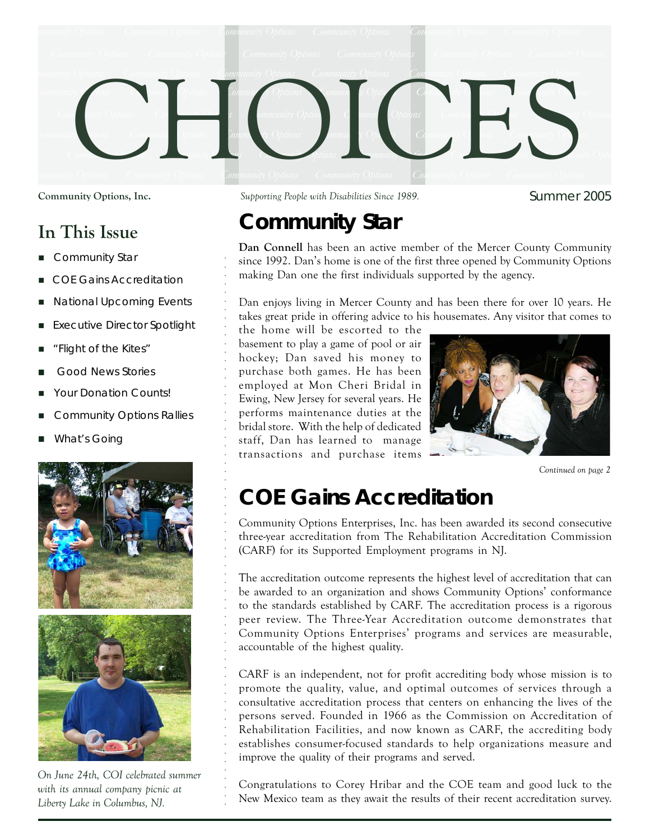

### **In This Issue**

- *Community Star*
- *COE Gains Accreditation*
- *National Upcoming Events*
- *Executive Director Spotlight*
- *"Flight of the Kites"*
- *Good News Stories*
- *Your Donation Counts!*
- *Community Options Rallies*
- *What's Going*



○○○○○○○○○○○○○○○○○○○○○○○○○○○○○○○○○○○○○○○○○○○○○○○○○○○○○○○○○○○○○○○○○

*On June 24th, COI celebrated summer with its annual company picnic at Liberty Lake in Columbus, NJ.*

**Community Options, Inc.** *Supporting People with Disabilities Since 1989.*

Summer 2005

# **Community Star**

**Dan Connell** has been an active member of the Mercer County Community since 1992. Dan's home is one of the first three opened by Community Options making Dan one the first individuals supported by the agency.

Dan enjoys living in Mercer County and has been there for over 10 years. He takes great pride in offering advice to his housemates. Any visitor that comes to

the home will be escorted to the basement to play a game of pool or air hockey; Dan saved his money to purchase both games. He has been employed at Mon Cheri Bridal in Ewing, New Jersey for several years. He performs maintenance duties at the bridal store. With the help of dedicated staff, Dan has learned to manage transactions and purchase items



*Continued on page 2*

## **COE Gains Accreditation**

Community Options Enterprises, Inc. has been awarded its second consecutive three-year accreditation from The Rehabilitation Accreditation Commission (CARF) for its Supported Employment programs in NJ.

The accreditation outcome represents the highest level of accreditation that can be awarded to an organization and shows Community Options' conformance to the standards established by CARF. The accreditation process is a rigorous peer review. The Three-Year Accreditation outcome demonstrates that Community Options Enterprises' programs and services are measurable, accountable of the highest quality.

CARF is an independent, not for profit accrediting body whose mission is to promote the quality, value, and optimal outcomes of services through a consultative accreditation process that centers on enhancing the lives of the persons served. Founded in 1966 as the Commission on Accreditation of Rehabilitation Facilities, and now known as CARF, the accrediting body establishes consumer-focused standards to help organizations measure and improve the quality of their programs and served.

Congratulations to Corey Hribar and the COE team and good luck to the New Mexico team as they await the results of their recent accreditation survey.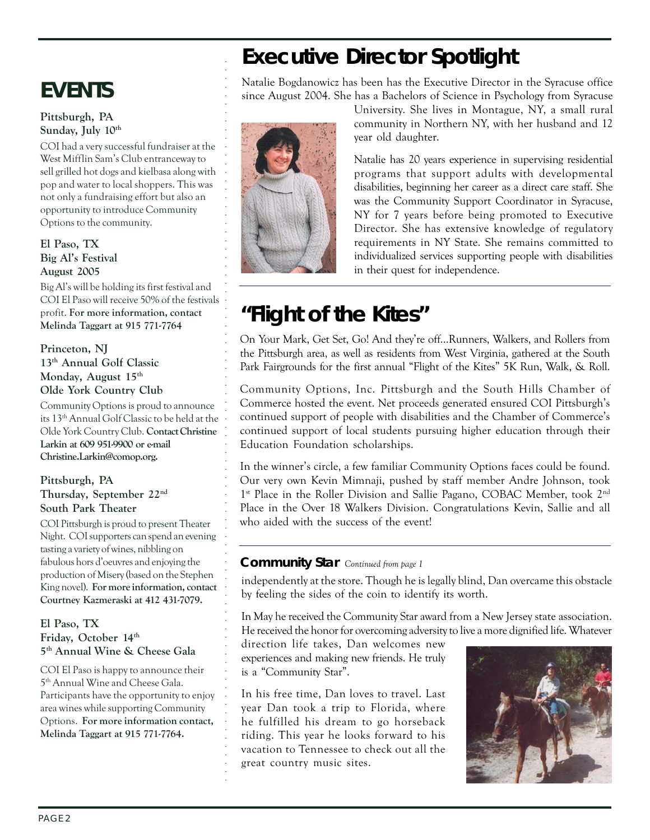# **EVENTS**

#### **Pittsburgh, PA** Sunday, July 10<sup>th</sup>

COI had a very successful fundraiser at the West Mifflin Sam's Club entranceway to sell grilled hot dogs and kielbasa along with pop and water to local shoppers. This was not only a fundraising effort but also an opportunity to introduce Community Options to the community.

#### **El Paso, TX Big Al's Festival August 2005**

Big Al's will be holding its first festival and COI El Paso will receive 50% of the festivals profit. **For more information, contact Melinda Taggart at 915 771-7764**

**Princeton, NJ 13th Annual Golf Classic Monday, August 15th Olde York Country Club**

Community Options is proud to announce its 13th Annual Golf Classic to be held at the Olde York Country Club. **Contact Christine** Larkin at 609 951-9900 or e-mail **Christine.Larkin@comop.org.**

#### **Pittsburgh, PA Thursday, September 22nd South Park Theater**

COI Pittsburgh is proud to present Theater Night. COI supporters can spend an evening tasting a variety of wines, nibbling on fabulous hors d'oeuvres and enjoying the production of Misery (based on the Stephen King novel). **For more information, contact Courtney Kazmeraski at 412 431-7079.**

**El Paso, TX** Friday, October 14<sup>th</sup> **5th Annual Wine & Cheese Gala**

COI El Paso is happy to announce their 5th Annual Wine and Cheese Gala. Participants have the opportunity to enjoy area wines while supporting Community Options. **For more information contact, Melinda Taggart at 915 771-7764.**

## **Executive Director Spotlight**

Natalie Bogdanowicz has been has the Executive Director in the Syracuse office since August 2004. She has a Bachelors of Science in Psychology from Syracuse



○○○○○○○○○○○○○○○○○○○○○○○○○○○○○○○○○○○○○○

○○○○○○○○○○○○○○○○○○○○○○○○○○○○○○○○○○○○○○○○○○○○○○○○

University. She lives in Montague, NY, a small rural community in Northern NY, with her husband and 12 year old daughter.

Natalie has 20 years experience in supervising residential programs that support adults with developmental disabilities, beginning her career as a direct care staff. She was the Community Support Coordinator in Syracuse, NY for 7 years before being promoted to Executive Director. She has extensive knowledge of regulatory requirements in NY State. She remains committed to individualized services supporting people with disabilities in their quest for independence.

# **"Flight of the Kites"**

On Your Mark, Get Set, Go! And they're off…Runners, Walkers, and Rollers from the Pittsburgh area, as well as residents from West Virginia, gathered at the South Park Fairgrounds for the first annual "Flight of the Kites" 5K Run, Walk, & Roll.

Community Options, Inc. Pittsburgh and the South Hills Chamber of Commerce hosted the event. Net proceeds generated ensured COI Pittsburgh's continued support of people with disabilities and the Chamber of Commerce's continued support of local students pursuing higher education through their Education Foundation scholarships.

In the winner's circle, a few familiar Community Options faces could be found. Our very own Kevin Mimnaji, pushed by staff member Andre Johnson, took 1<sup>st</sup> Place in the Roller Division and Sallie Pagano, COBAC Member, took 2<sup>nd</sup> Place in the Over 18 Walkers Division. Congratulations Kevin, Sallie and all who aided with the success of the event!

### **Community Star** *Continued from page 1*

independently at the store. Though he is legally blind, Dan overcame this obstacle by feeling the sides of the coin to identify its worth.

In May he received the Community Star award from a New Jersey state association. He received the honor for overcoming adversity to live a more dignified life. Whatever

direction life takes, Dan welcomes new experiences and making new friends. He truly is a "Community Star".

In his free time, Dan loves to travel. Last year Dan took a trip to Florida, where he fulfilled his dream to go horseback riding. This year he looks forward to his vacation to Tennessee to check out all the great country music sites.

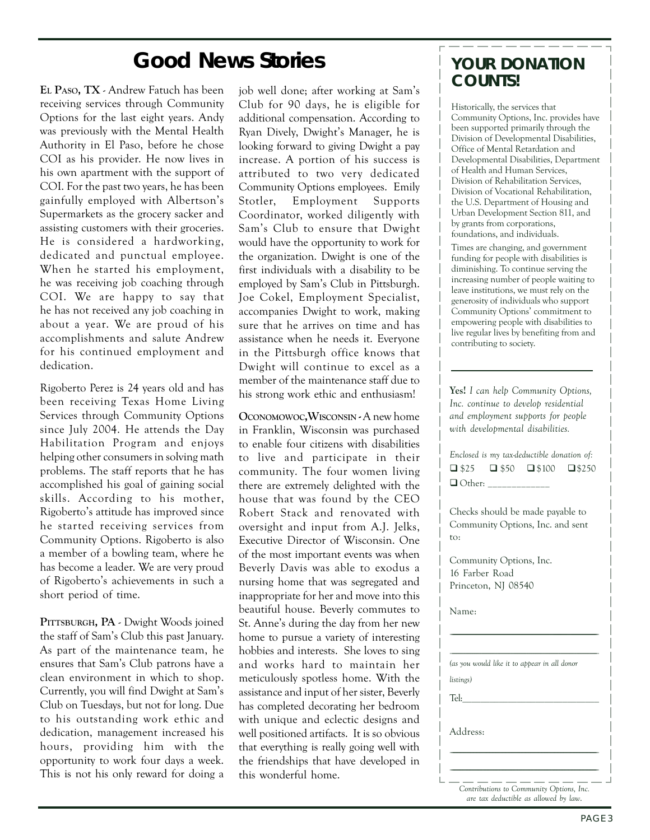### **Good News Stories**

**EL PASO, TX** - Andrew Fatuch has been receiving services through Community Options for the last eight years. Andy was previously with the Mental Health Authority in El Paso, before he chose COI as his provider. He now lives in his own apartment with the support of COI. For the past two years, he has been gainfully employed with Albertson's Supermarkets as the grocery sacker and assisting customers with their groceries. He is considered a hardworking, dedicated and punctual employee. When he started his employment, he was receiving job coaching through COI. We are happy to say that he has not received any job coaching in about a year. We are proud of his accomplishments and salute Andrew for his continued employment and dedication.

Rigoberto Perez is 24 years old and has been receiving Texas Home Living Services through Community Options since July 2004. He attends the Day Habilitation Program and enjoys helping other consumers in solving math problems. The staff reports that he has accomplished his goal of gaining social skills. According to his mother, Rigoberto's attitude has improved since he started receiving services from Community Options. Rigoberto is also a member of a bowling team, where he has become a leader. We are very proud of Rigoberto's achievements in such a short period of time.

**PITTSBURGH, PA** - Dwight Woods joined the staff of Sam's Club this past January. As part of the maintenance team, he ensures that Sam's Club patrons have a clean environment in which to shop. Currently, you will find Dwight at Sam's Club on Tuesdays, but not for long. Due to his outstanding work ethic and dedication, management increased his hours, providing him with the opportunity to work four days a week. This is not his only reward for doing a job well done; after working at Sam's Club for 90 days, he is eligible for additional compensation. According to Ryan Dively, Dwight's Manager, he is looking forward to giving Dwight a pay increase. A portion of his success is attributed to two very dedicated Community Options employees. Emily Stotler, Employment Supports Coordinator, worked diligently with Sam's Club to ensure that Dwight would have the opportunity to work for the organization. Dwight is one of the first individuals with a disability to be employed by Sam's Club in Pittsburgh. Joe Cokel, Employment Specialist, accompanies Dwight to work, making sure that he arrives on time and has assistance when he needs it. Everyone in the Pittsburgh office knows that Dwight will continue to excel as a member of the maintenance staff due to his strong work ethic and enthusiasm!

**OCONOMOWOC,WISCONSIN -** A new home in Franklin, Wisconsin was purchased to enable four citizens with disabilities to live and participate in their community. The four women living there are extremely delighted with the house that was found by the CEO Robert Stack and renovated with oversight and input from A.J. Jelks, Executive Director of Wisconsin. One of the most important events was when Beverly Davis was able to exodus a nursing home that was segregated and inappropriate for her and move into this beautiful house. Beverly commutes to St. Anne's during the day from her new home to pursue a variety of interesting hobbies and interests. She loves to sing and works hard to maintain her meticulously spotless home. With the assistance and input of her sister, Beverly has completed decorating her bedroom with unique and eclectic designs and well positioned artifacts. It is so obvious that everything is really going well with the friendships that have developed in this wonderful home.

### **YOUR DONATION COUNTS!**

Historically, the services that Community Options, Inc. provides have been supported primarily through the Division of Developmental Disabilities, Office of Mental Retardation and Developmental Disabilities, Department of Health and Human Services, Division of Rehabilitation Services, Division of Vocational Rehabilitation, the U.S. Department of Housing and Urban Development Section 811, and by grants from corporations, foundations, and individuals.

Times are changing, and government funding for people with disabilities is diminishing. To continue serving the increasing number of people waiting to leave institutions, we must rely on the generosity of individuals who support Community Options' commitment to empowering people with disabilities to live regular lives by benefiting from and contributing to society.

**Yes!** *I can help Community Options, Inc. continue to develop residential and employment supports for people with developmental disabilities.*

*Enclosed is my tax-deductible donation of:*  $\Box$  \$25  $\Box$  \$50  $\Box$  \$100  $\Box$  \$250  $\Box$  Other:

Checks should be made payable to Community Options, Inc. and sent to:

Community Options, Inc. 16 Farber Road Princeton, NJ 08540

Name:

*(as you would like it to appear in all donor*

\_\_\_\_\_\_\_\_\_\_\_\_\_\_\_\_\_\_\_\_\_\_\_\_\_\_\_\_\_\_\_\_\_\_\_\_\_\_\_\_\_\_\_\_\_\_\_\_\_\_\_\_\_\_\_\_\_\_\_\_\_\_\_\_\_\_\_\_\_\_\_\_\_\_\_\_\_\_\_\_\_\_\_\_\_\_\_\_\_\_\_\_\_\_\_\_\_\_\_\_\_\_\_\_\_\_\_\_\_\_\_\_\_\_\_\_\_\_\_\_\_\_\_\_\_\_\_\_\_\_ \_\_\_\_\_\_\_\_\_\_\_\_\_\_\_\_\_\_\_\_\_\_\_\_\_\_\_\_\_\_\_\_\_\_\_\_\_\_\_\_\_\_\_\_\_\_\_\_\_\_\_\_\_\_\_\_\_\_\_\_\_\_\_\_\_

Tel:\_\_\_\_\_\_\_\_\_\_\_\_\_\_\_\_\_\_\_\_\_\_\_\_\_\_\_\_\_\_

\_\_\_\_\_\_\_\_\_\_\_\_\_\_\_\_\_\_\_\_\_\_\_\_\_\_\_\_\_\_\_\_\_\_\_\_\_\_\_\_\_\_\_\_\_\_\_\_\_\_\_\_\_\_\_\_\_\_\_\_\_\_\_\_\_\_\_\_\_\_\_\_\_\_\_\_\_\_\_\_\_\_\_\_\_\_\_\_\_\_\_\_\_\_\_\_\_\_\_ \_\_\_\_\_\_\_\_\_\_\_\_\_\_\_\_\_\_\_\_\_\_\_\_\_\_\_\_\_\_\_\_\_\_\_\_\_\_\_\_\_\_\_\_\_\_\_\_\_\_\_\_\_\_\_\_\_\_\_\_\_\_\_\_\_\_\_\_\_\_\_\_\_\_\_\_\_\_\_\_\_\_\_\_\_\_\_\_\_\_\_\_\_\_\_\_\_\_\_\_\_\_\_\_\_\_

*listings)*

Address:

*Contributions to Community Options, Inc. are tax deductible as allowed by law*.